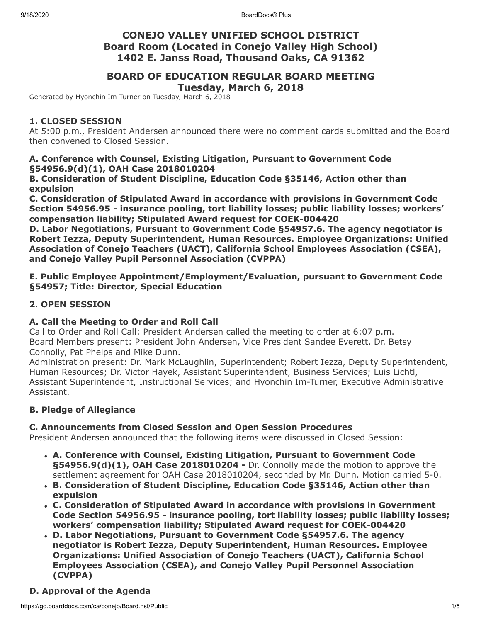## **CONEJO VALLEY UNIFIED SCHOOL DISTRICT Board Room (Located in Conejo Valley High School) 1402 E. Janss Road, Thousand Oaks, CA 91362**

# **BOARD OF EDUCATION REGULAR BOARD MEETING**

**Tuesday, March 6, 2018**

Generated by Hyonchin Im-Turner on Tuesday, March 6, 2018

## **1. CLOSED SESSION**

At 5:00 p.m., President Andersen announced there were no comment cards submitted and the Board then convened to Closed Session.

## **A. Conference with Counsel, Existing Litigation, Pursuant to Government Code §54956.9(d)(1), OAH Case 2018010204**

**B. Consideration of Student Discipline, Education Code §35146, Action other than expulsion**

**C. Consideration of Stipulated Award in accordance with provisions in Government Code Section 54956.95 - insurance pooling, tort liability losses; public liability losses; workers' compensation liability; Stipulated Award request for COEK-004420**

**D. Labor Negotiations, Pursuant to Government Code §54957.6. The agency negotiator is Robert Iezza, Deputy Superintendent, Human Resources. Employee Organizations: Unified Association of Conejo Teachers (UACT), California School Employees Association (CSEA), and Conejo Valley Pupil Personnel Association (CVPPA)**

**E. Public Employee Appointment/Employment/Evaluation, pursuant to Government Code §54957; Title: Director, Special Education**

## **2. OPEN SESSION**

## **A. Call the Meeting to Order and Roll Call**

Call to Order and Roll Call: President Andersen called the meeting to order at 6:07 p.m. Board Members present: President John Andersen, Vice President Sandee Everett, Dr. Betsy Connolly, Pat Phelps and Mike Dunn.

Administration present: Dr. Mark McLaughlin, Superintendent; Robert Iezza, Deputy Superintendent, Human Resources; Dr. Victor Hayek, Assistant Superintendent, Business Services; Luis Lichtl, Assistant Superintendent, Instructional Services; and Hyonchin Im-Turner, Executive Administrative Assistant.

## **B. Pledge of Allegiance**

## **C. Announcements from Closed Session and Open Session Procedures**

President Andersen announced that the following items were discussed in Closed Session:

- **A. Conference with Counsel, Existing Litigation, Pursuant to Government Code §54956.9(d)(1), OAH Case 2018010204 -** Dr. Connolly made the motion to approve the settlement agreement for OAH Case 2018010204, seconded by Mr. Dunn. Motion carried 5-0.
- **B. Consideration of Student Discipline, Education Code §35146, Action other than expulsion**
- **C. Consideration of Stipulated Award in accordance with provisions in Government Code Section 54956.95 - insurance pooling, tort liability losses; public liability losses; workers' compensation liability; Stipulated Award request for COEK-004420**
- **D. Labor Negotiations, Pursuant to Government Code §54957.6. The agency negotiator is Robert Iezza, Deputy Superintendent, Human Resources. Employee Organizations: Unified Association of Conejo Teachers (UACT), California School Employees Association (CSEA), and Conejo Valley Pupil Personnel Association (CVPPA)**

## **D. Approval of the Agenda**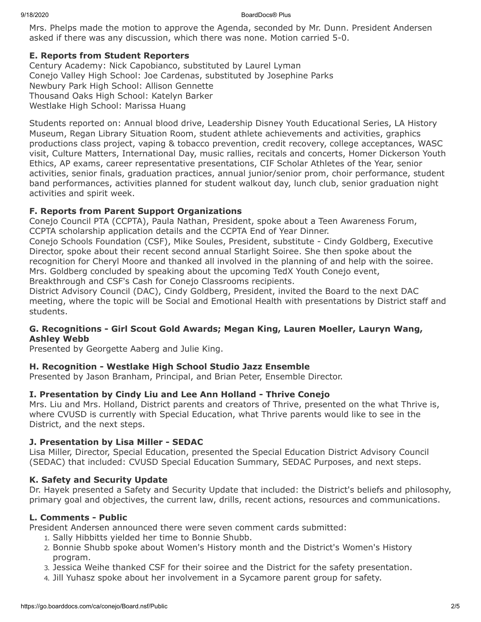#### 9/18/2020 BoardDocs® Plus

Mrs. Phelps made the motion to approve the Agenda, seconded by Mr. Dunn. President Andersen asked if there was any discussion, which there was none. Motion carried 5-0.

#### **E. Reports from Student Reporters**

Century Academy: Nick Capobianco, substituted by Laurel Lyman Conejo Valley High School: Joe Cardenas, substituted by Josephine Parks Newbury Park High School: Allison Gennette Thousand Oaks High School: Katelyn Barker Westlake High School: Marissa Huang

Students reported on: Annual blood drive, Leadership Disney Youth Educational Series, LA History Museum, Regan Library Situation Room, student athlete achievements and activities, graphics productions class project, vaping & tobacco prevention, credit recovery, college acceptances, WASC visit, Culture Matters, International Day, music rallies, recitals and concerts, Homer Dickerson Youth Ethics, AP exams, career representative presentations, CIF Scholar Athletes of the Year, senior activities, senior finals, graduation practices, annual junior/senior prom, choir performance, student band performances, activities planned for student walkout day, lunch club, senior graduation night activities and spirit week.

## **F. Reports from Parent Support Organizations**

Conejo Council PTA (CCPTA), Paula Nathan, President, spoke about a Teen Awareness Forum, CCPTA scholarship application details and the CCPTA End of Year Dinner.

Conejo Schools Foundation (CSF), Mike Soules, President, substitute - Cindy Goldberg, Executive Director, spoke about their recent second annual Starlight Soiree. She then spoke about the recognition for Cheryl Moore and thanked all involved in the planning of and help with the soiree. Mrs. Goldberg concluded by speaking about the upcoming TedX Youth Conejo event, Breakthrough and CSF's Cash for Conejo Classrooms recipients.

District Advisory Council (DAC), Cindy Goldberg, President, invited the Board to the next DAC meeting, where the topic will be Social and Emotional Health with presentations by District staff and students.

#### **G. Recognitions - Girl Scout Gold Awards; Megan King, Lauren Moeller, Lauryn Wang, Ashley Webb**

Presented by Georgette Aaberg and Julie King.

## **H. Recognition - Westlake High School Studio Jazz Ensemble**

Presented by Jason Branham, Principal, and Brian Peter, Ensemble Director.

## **I. Presentation by Cindy Liu and Lee Ann Holland - Thrive Conejo**

Mrs. Liu and Mrs. Holland, District parents and creators of Thrive, presented on the what Thrive is, where CVUSD is currently with Special Education, what Thrive parents would like to see in the District, and the next steps.

## **J. Presentation by Lisa Miller - SEDAC**

Lisa Miller, Director, Special Education, presented the Special Education District Advisory Council (SEDAC) that included: CVUSD Special Education Summary, SEDAC Purposes, and next steps.

## **K. Safety and Security Update**

Dr. Hayek presented a Safety and Security Update that included: the District's beliefs and philosophy, primary goal and objectives, the current law, drills, recent actions, resources and communications.

#### **L. Comments - Public**

President Andersen announced there were seven comment cards submitted:

- 1. Sally Hibbitts yielded her time to Bonnie Shubb.
- 2. Bonnie Shubb spoke about Women's History month and the District's Women's History program.
- 3. Jessica Weihe thanked CSF for their soiree and the District for the safety presentation.
- 4. Jill Yuhasz spoke about her involvement in a Sycamore parent group for safety.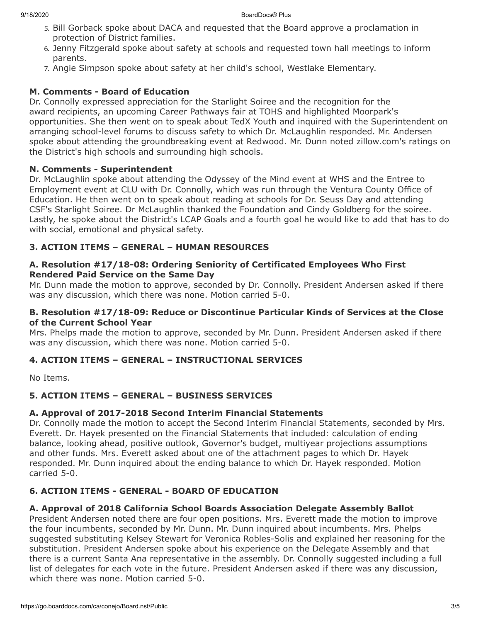- 5. Bill Gorback spoke about DACA and requested that the Board approve a proclamation in protection of District families.
- 6. Jenny Fitzgerald spoke about safety at schools and requested town hall meetings to inform parents.
- 7. Angie Simpson spoke about safety at her child's school, Westlake Elementary.

## **M. Comments - Board of Education**

Dr. Connolly expressed appreciation for the Starlight Soiree and the recognition for the award recipients, an upcoming Career Pathways fair at TOHS and highlighted Moorpark's opportunities. She then went on to speak about TedX Youth and inquired with the Superintendent on arranging school-level forums to discuss safety to which Dr. McLaughlin responded. Mr. Andersen spoke about attending the groundbreaking event at Redwood. Mr. Dunn noted zillow.com's ratings on the District's high schools and surrounding high schools.

## **N. Comments - Superintendent**

Dr. McLaughlin spoke about attending the Odyssey of the Mind event at WHS and the Entree to Employment event at CLU with Dr. Connolly, which was run through the Ventura County Office of Education. He then went on to speak about reading at schools for Dr. Seuss Day and attending CSF's Starlight Soiree. Dr McLaughlin thanked the Foundation and Cindy Goldberg for the soiree. Lastly, he spoke about the District's LCAP Goals and a fourth goal he would like to add that has to do with social, emotional and physical safety.

## **3. ACTION ITEMS – GENERAL – HUMAN RESOURCES**

## **A. Resolution #17/18-08: Ordering Seniority of Certificated Employees Who First Rendered Paid Service on the Same Day**

Mr. Dunn made the motion to approve, seconded by Dr. Connolly. President Andersen asked if there was any discussion, which there was none. Motion carried 5-0.

## **B. Resolution #17/18-09: Reduce or Discontinue Particular Kinds of Services at the Close of the Current School Year**

Mrs. Phelps made the motion to approve, seconded by Mr. Dunn. President Andersen asked if there was any discussion, which there was none. Motion carried 5-0.

## **4. ACTION ITEMS – GENERAL – INSTRUCTIONAL SERVICES**

No Items.

## **5. ACTION ITEMS – GENERAL – BUSINESS SERVICES**

## **A. Approval of 2017-2018 Second Interim Financial Statements**

Dr. Connolly made the motion to accept the Second Interim Financial Statements, seconded by Mrs. Everett. Dr. Hayek presented on the Financial Statements that included: calculation of ending balance, looking ahead, positive outlook, Governor's budget, multiyear projections assumptions and other funds. Mrs. Everett asked about one of the attachment pages to which Dr. Hayek responded. Mr. Dunn inquired about the ending balance to which Dr. Hayek responded. Motion carried 5-0.

## **6. ACTION ITEMS - GENERAL - BOARD OF EDUCATION**

#### **A. Approval of 2018 California School Boards Association Delegate Assembly Ballot**

President Andersen noted there are four open positions. Mrs. Everett made the motion to improve the four incumbents, seconded by Mr. Dunn. Mr. Dunn inquired about incumbents. Mrs. Phelps suggested substituting Kelsey Stewart for Veronica Robles-Solis and explained her reasoning for the substitution. President Andersen spoke about his experience on the Delegate Assembly and that there is a current Santa Ana representative in the assembly. Dr. Connolly suggested including a full list of delegates for each vote in the future. President Andersen asked if there was any discussion, which there was none. Motion carried 5-0.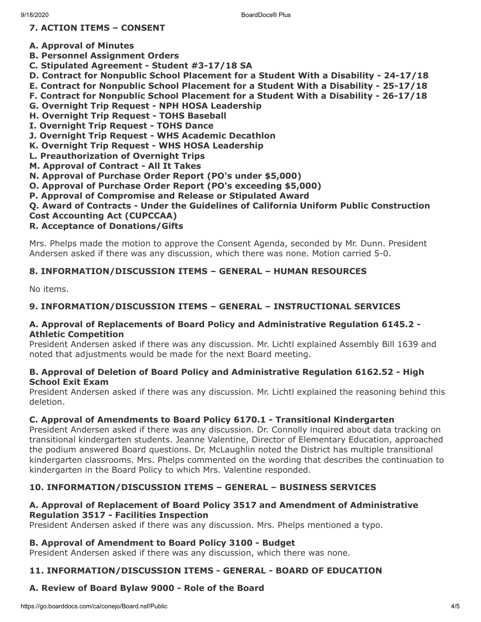## **7. ACTION ITEMS – CONSENT**

- **A. Approval of Minutes**
- **B. Personnel Assignment Orders**
- **C. Stipulated Agreement Student #3-17/18 SA**
- **D. Contract for Nonpublic School Placement for a Student With a Disability 24-17/18**
- **E. Contract for Nonpublic School Placement for a Student With a Disability 25-17/18**
- **F. Contract for Nonpublic School Placement for a Student With a Disability 26-17/18**
- **G. Overnight Trip Request NPH HOSA Leadership**
- **H. Overnight Trip Request TOHS Baseball**
- **I. Overnight Trip Request TOHS Dance**
- **J. Overnight Trip Request WHS Academic Decathlon**
- **K. Overnight Trip Request WHS HOSA Leadership**
- **L. Preauthorization of Overnight Trips**
- **M. Approval of Contract All It Takes**
- **N. Approval of Purchase Order Report (PO's under \$5,000)**
- **O. Approval of Purchase Order Report (PO's exceeding \$5,000)**
- **P. Approval of Compromise and Release or Stipulated Award**

## **Q. Award of Contracts - Under the Guidelines of California Uniform Public Construction**

**Cost Accounting Act (CUPCCAA)**

## **R. Acceptance of Donations/Gifts**

Mrs. Phelps made the motion to approve the Consent Agenda, seconded by Mr. Dunn. President Andersen asked if there was any discussion, which there was none. Motion carried 5-0.

## **8. INFORMATION/DISCUSSION ITEMS – GENERAL – HUMAN RESOURCES**

No items.

## **9. INFORMATION/DISCUSSION ITEMS – GENERAL – INSTRUCTIONAL SERVICES**

#### **A. Approval of Replacements of Board Policy and Administrative Regulation 6145.2 - Athletic Competition**

President Andersen asked if there was any discussion. Mr. Lichtl explained Assembly Bill 1639 and noted that adjustments would be made for the next Board meeting.

#### **B. Approval of Deletion of Board Policy and Administrative Regulation 6162.52 - High School Exit Exam**

President Andersen asked if there was any discussion. Mr. Lichtl explained the reasoning behind this deletion.

## **C. Approval of Amendments to Board Policy 6170.1 - Transitional Kindergarten**

President Andersen asked if there was any discussion. Dr. Connolly inquired about data tracking on transitional kindergarten students. Jeanne Valentine, Director of Elementary Education, approached the podium answered Board questions. Dr. McLaughlin noted the District has multiple transitional kindergarten classrooms. Mrs. Phelps commented on the wording that describes the continuation to kindergarten in the Board Policy to which Mrs. Valentine responded.

## **10. INFORMATION/DISCUSSION ITEMS – GENERAL – BUSINESS SERVICES**

## **A. Approval of Replacement of Board Policy 3517 and Amendment of Administrative Regulation 3517 - Facilities Inspection**

President Andersen asked if there was any discussion. Mrs. Phelps mentioned a typo.

## **B. Approval of Amendment to Board Policy 3100 - Budget**

President Andersen asked if there was any discussion, which there was none.

## **11. INFORMATION/DISCUSSION ITEMS - GENERAL - BOARD OF EDUCATION**

## **A. Review of Board Bylaw 9000 - Role of the Board**